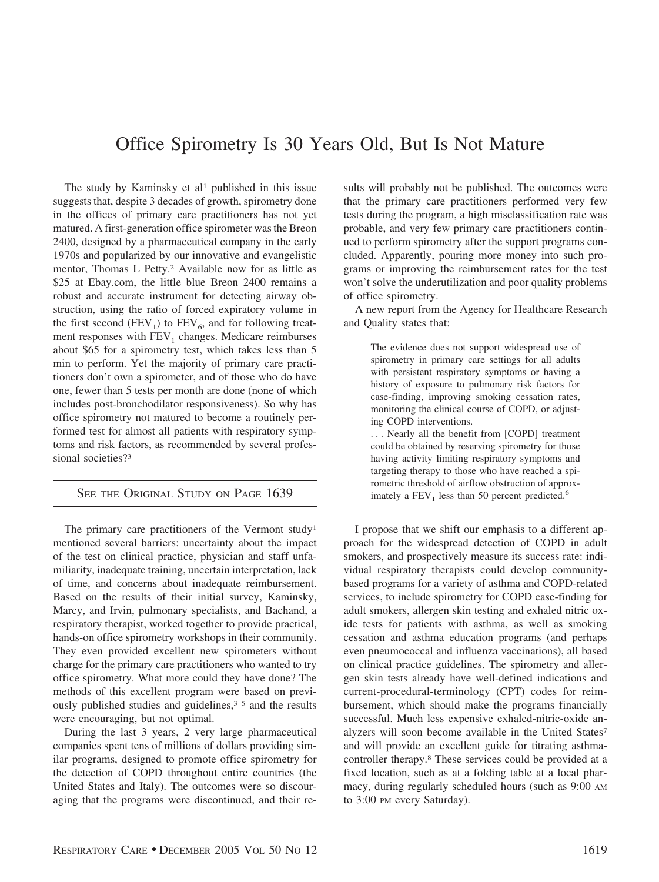## Office Spirometry Is 30 Years Old, But Is Not Mature

The study by Kaminsky et al<sup>1</sup> published in this issue suggests that, despite 3 decades of growth, spirometry done in the offices of primary care practitioners has not yet matured. A first-generation office spirometer was the Breon 2400, designed by a pharmaceutical company in the early 1970s and popularized by our innovative and evangelistic mentor, Thomas L Petty.2 Available now for as little as \$25 at Ebay.com, the little blue Breon 2400 remains a robust and accurate instrument for detecting airway obstruction, using the ratio of forced expiratory volume in the first second (FEV<sub>1</sub>) to FEV<sub>6</sub>, and for following treatment responses with  $FEV<sub>1</sub>$  changes. Medicare reimburses about \$65 for a spirometry test, which takes less than 5 min to perform. Yet the majority of primary care practitioners don't own a spirometer, and of those who do have one, fewer than 5 tests per month are done (none of which includes post-bronchodilator responsiveness). So why has office spirometry not matured to become a routinely performed test for almost all patients with respiratory symptoms and risk factors, as recommended by several professional societies?3

## SEE THE ORIGINAL STUDY ON PAGE 1639

The primary care practitioners of the Vermont study<sup>1</sup> mentioned several barriers: uncertainty about the impact of the test on clinical practice, physician and staff unfamiliarity, inadequate training, uncertain interpretation, lack of time, and concerns about inadequate reimbursement. Based on the results of their initial survey, Kaminsky, Marcy, and Irvin, pulmonary specialists, and Bachand, a respiratory therapist, worked together to provide practical, hands-on office spirometry workshops in their community. They even provided excellent new spirometers without charge for the primary care practitioners who wanted to try office spirometry. What more could they have done? The methods of this excellent program were based on previously published studies and guidelines,<sup>3-5</sup> and the results were encouraging, but not optimal.

During the last 3 years, 2 very large pharmaceutical companies spent tens of millions of dollars providing similar programs, designed to promote office spirometry for the detection of COPD throughout entire countries (the United States and Italy). The outcomes were so discouraging that the programs were discontinued, and their results will probably not be published. The outcomes were that the primary care practitioners performed very few tests during the program, a high misclassification rate was probable, and very few primary care practitioners continued to perform spirometry after the support programs concluded. Apparently, pouring more money into such programs or improving the reimbursement rates for the test won't solve the underutilization and poor quality problems of office spirometry.

A new report from the Agency for Healthcare Research and Quality states that:

> The evidence does not support widespread use of spirometry in primary care settings for all adults with persistent respiratory symptoms or having a history of exposure to pulmonary risk factors for case-finding, improving smoking cessation rates, monitoring the clinical course of COPD, or adjusting COPD interventions.

> . . . Nearly all the benefit from [COPD] treatment could be obtained by reserving spirometry for those having activity limiting respiratory symptoms and targeting therapy to those who have reached a spirometric threshold of airflow obstruction of approximately a  $FEV<sub>1</sub>$  less than 50 percent predicted.<sup>6</sup>

I propose that we shift our emphasis to a different approach for the widespread detection of COPD in adult smokers, and prospectively measure its success rate: individual respiratory therapists could develop communitybased programs for a variety of asthma and COPD-related services, to include spirometry for COPD case-finding for adult smokers, allergen skin testing and exhaled nitric oxide tests for patients with asthma, as well as smoking cessation and asthma education programs (and perhaps even pneumococcal and influenza vaccinations), all based on clinical practice guidelines. The spirometry and allergen skin tests already have well-defined indications and current-procedural-terminology (CPT) codes for reimbursement, which should make the programs financially successful. Much less expensive exhaled-nitric-oxide analyzers will soon become available in the United States<sup>7</sup> and will provide an excellent guide for titrating asthmacontroller therapy.8 These services could be provided at a fixed location, such as at a folding table at a local pharmacy, during regularly scheduled hours (such as 9:00 AM to 3:00 PM every Saturday).